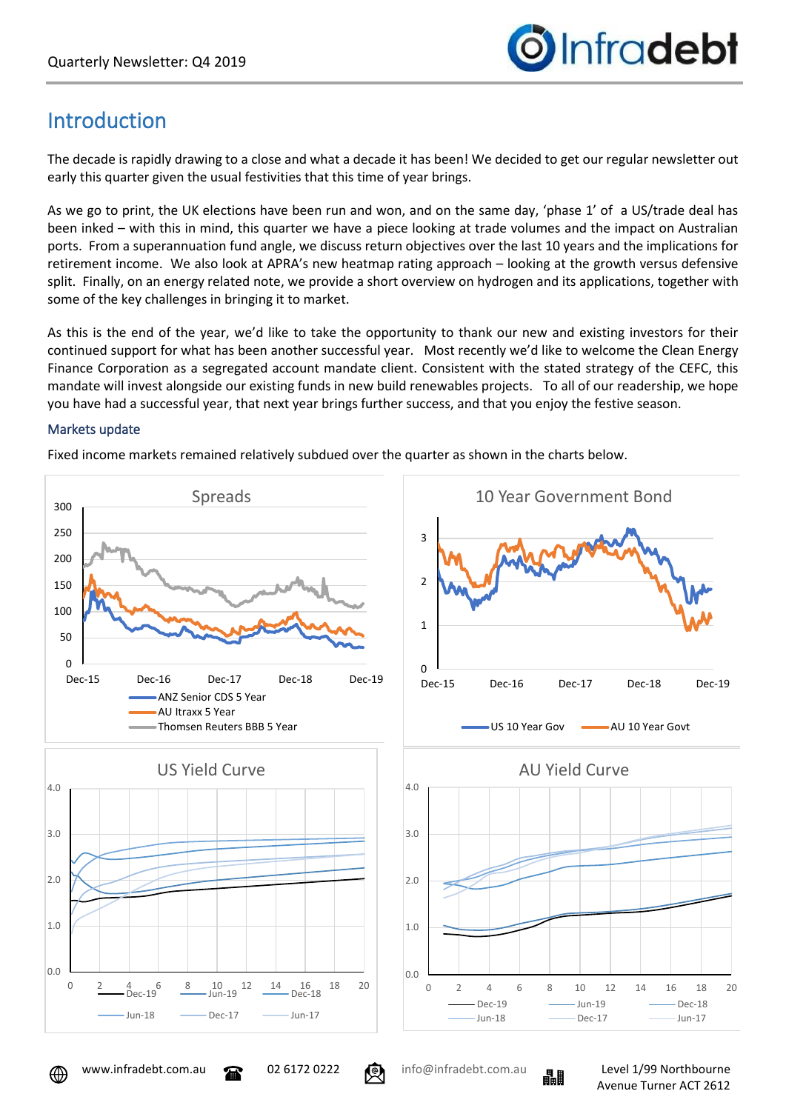

# Introduction

The decade is rapidly drawing to a close and what a decade it has been! We decided to get our regular newsletter out early this quarter given the usual festivities that this time of year brings.

As we go to print, the UK elections have been run and won, and on the same day, 'phase 1' of a US/trade deal has been inked – with this in mind, this quarter we have a piece looking at trade volumes and the impact on Australian ports. From a superannuation fund angle, we discuss return objectives over the last 10 years and the implications for retirement income. We also look at APRA's new heatmap rating approach – looking at the growth versus defensive split. Finally, on an energy related note, we provide a short overview on hydrogen and its applications, together with some of the key challenges in bringing it to market.

As this is the end of the year, we'd like to take the opportunity to thank our new and existing investors for their continued support for what has been another successful year. Most recently we'd like to welcome the Clean Energy Finance Corporation as a segregated account mandate client. Consistent with the stated strategy of the CEFC, this mandate will invest alongside our existing funds in new build renewables projects. To all of our readership, we hope you have had a successful year, that next year brings further success, and that you enjoy the festive season.

## Markets update

Fixed income markets remained relatively subdued over the quarter as shown in the charts below.



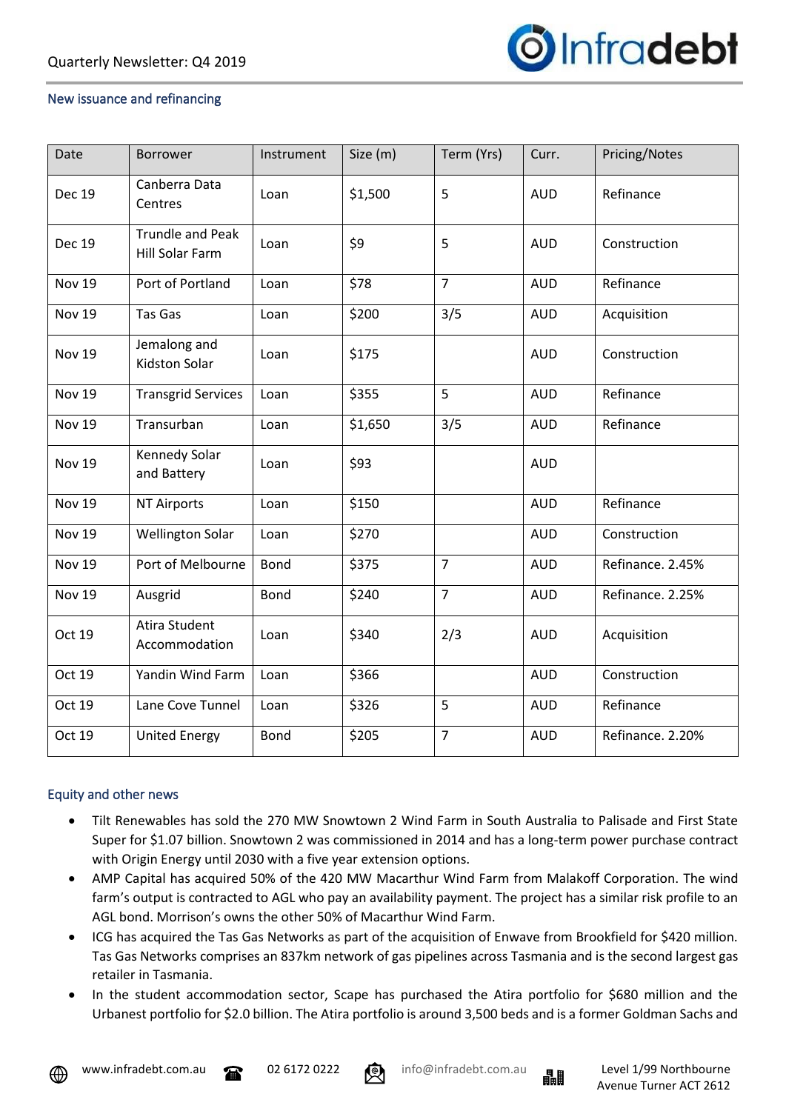

### New issuance and refinancing

| Date          | Borrower                                          | Instrument  | Size (m) | Term (Yrs)     | Curr.      | Pricing/Notes    |  |
|---------------|---------------------------------------------------|-------------|----------|----------------|------------|------------------|--|
| <b>Dec 19</b> | Canberra Data<br>Centres                          | Loan        | \$1,500  | 5              | <b>AUD</b> | Refinance        |  |
| <b>Dec 19</b> | <b>Trundle and Peak</b><br><b>Hill Solar Farm</b> | Loan        | \$9      | 5              | <b>AUD</b> | Construction     |  |
| <b>Nov 19</b> | Port of Portland                                  | Loan        | \$78     | $\overline{7}$ | <b>AUD</b> | Refinance        |  |
| <b>Nov 19</b> | Tas Gas                                           | Loan        | \$200    | 3/5            | <b>AUD</b> | Acquisition      |  |
| <b>Nov 19</b> | Jemalong and<br><b>Kidston Solar</b>              | Loan        | \$175    |                | <b>AUD</b> | Construction     |  |
| Nov 19        | <b>Transgrid Services</b>                         | Loan        | \$355    | 5              | <b>AUD</b> | Refinance        |  |
| <b>Nov 19</b> | Transurban                                        | Loan        | \$1,650  | 3/5            | <b>AUD</b> | Refinance        |  |
| <b>Nov 19</b> | Kennedy Solar<br>and Battery                      | Loan        | \$93     |                | <b>AUD</b> |                  |  |
| <b>Nov 19</b> | <b>NT Airports</b>                                | Loan        | \$150    |                | <b>AUD</b> | Refinance        |  |
| <b>Nov 19</b> | <b>Wellington Solar</b>                           | Loan        | \$270    |                | <b>AUD</b> | Construction     |  |
| <b>Nov 19</b> | Port of Melbourne                                 | <b>Bond</b> | \$375    | $\overline{7}$ | <b>AUD</b> | Refinance. 2.45% |  |
| <b>Nov 19</b> | Ausgrid                                           | <b>Bond</b> | \$240    | $\overline{7}$ | <b>AUD</b> | Refinance. 2.25% |  |
| Oct 19        | <b>Atira Student</b><br>Accommodation             | Loan        | \$340    | 2/3            | <b>AUD</b> | Acquisition      |  |
| Oct 19        | Yandin Wind Farm                                  | Loan        | \$366    |                | <b>AUD</b> | Construction     |  |
| Oct 19        | Lane Cove Tunnel                                  | Loan        | \$326    | 5              | <b>AUD</b> | Refinance        |  |
| Oct 19        | <b>United Energy</b>                              | Bond        | \$205    | $\overline{7}$ | <b>AUD</b> | Refinance. 2.20% |  |

### Equity and other news

- Tilt Renewables has sold the 270 MW Snowtown 2 Wind Farm in South Australia to Palisade and First State Super for \$1.07 billion. Snowtown 2 was commissioned in 2014 and has a long-term power purchase contract with Origin Energy until 2030 with a five year extension options.
- AMP Capital has acquired 50% of the 420 MW Macarthur Wind Farm from Malakoff Corporation. The wind farm's output is contracted to AGL who pay an availability payment. The project has a similar risk profile to an AGL bond. Morrison's owns the other 50% of Macarthur Wind Farm.
- ICG has acquired the Tas Gas Networks as part of the acquisition of Enwave from Brookfield for \$420 million. Tas Gas Networks comprises an 837km network of gas pipelines across Tasmania and is the second largest gas retailer in Tasmania.
- In the student accommodation sector, Scape has purchased the Atira portfolio for \$680 million and the Urbanest portfolio for \$2.0 billion. The Atira portfolio is around 3,500 beds and is a former Goldman Sachs and



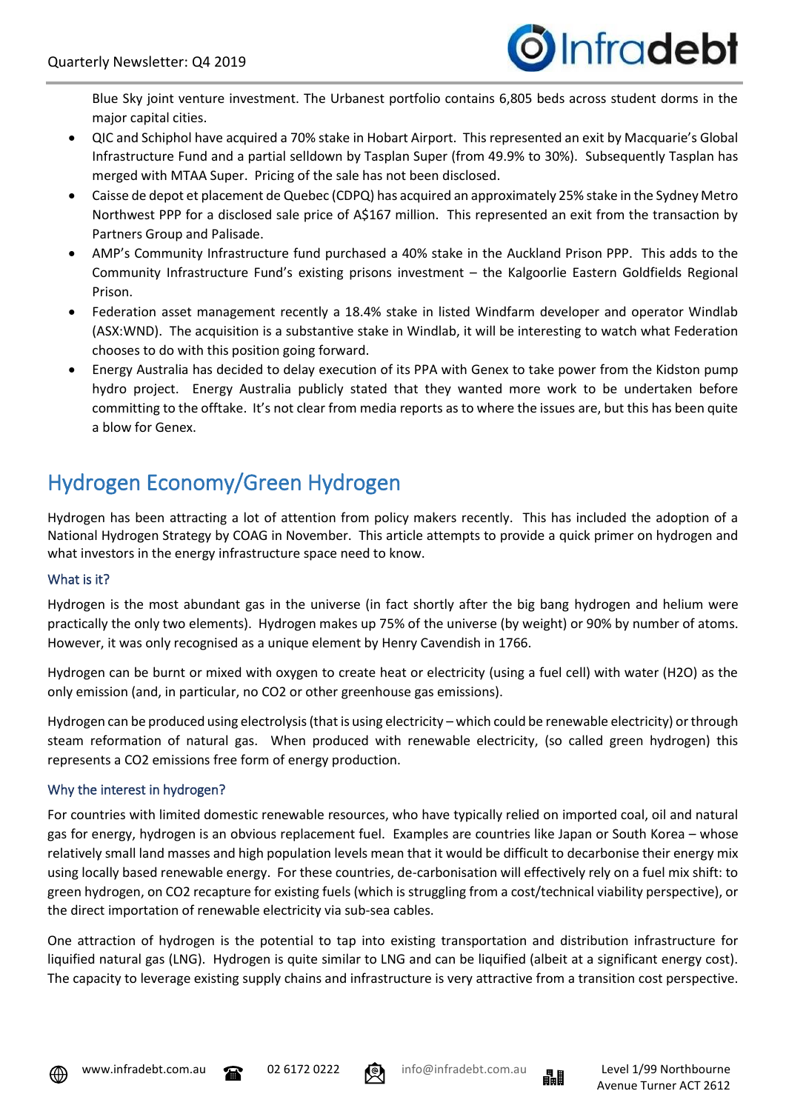

Blue Sky joint venture investment. The Urbanest portfolio contains 6,805 beds across student dorms in the major capital cities.

- QIC and Schiphol have acquired a 70% stake in Hobart Airport. This represented an exit by Macquarie's Global Infrastructure Fund and a partial selldown by Tasplan Super (from 49.9% to 30%). Subsequently Tasplan has merged with MTAA Super. Pricing of the sale has not been disclosed.
- Caisse de depot et placement de Quebec (CDPQ) has acquired an approximately 25% stake in the Sydney Metro Northwest PPP for a disclosed sale price of A\$167 million. This represented an exit from the transaction by Partners Group and Palisade.
- AMP's Community Infrastructure fund purchased a 40% stake in the Auckland Prison PPP. This adds to the Community Infrastructure Fund's existing prisons investment – the Kalgoorlie Eastern Goldfields Regional Prison.
- Federation asset management recently a 18.4% stake in listed Windfarm developer and operator Windlab (ASX:WND). The acquisition is a substantive stake in Windlab, it will be interesting to watch what Federation chooses to do with this position going forward.
- Energy Australia has decided to delay execution of its PPA with Genex to take power from the Kidston pump hydro project. Energy Australia publicly stated that they wanted more work to be undertaken before committing to the offtake. It's not clear from media reports as to where the issues are, but this has been quite a blow for Genex.

# Hydrogen Economy/Green Hydrogen

Hydrogen has been attracting a lot of attention from policy makers recently. This has included the adoption of a National Hydrogen Strategy by COAG in November. This article attempts to provide a quick primer on hydrogen and what investors in the energy infrastructure space need to know.

# What is it?

Hydrogen is the most abundant gas in the universe (in fact shortly after the big bang hydrogen and helium were practically the only two elements). Hydrogen makes up 75% of the universe (by weight) or 90% by number of atoms. However, it was only recognised as a unique element by Henry Cavendish in 1766.

Hydrogen can be burnt or mixed with oxygen to create heat or electricity (using a fuel cell) with water (H2O) as the only emission (and, in particular, no CO2 or other greenhouse gas emissions).

Hydrogen can be produced using electrolysis (that is using electricity – which could be renewable electricity) or through steam reformation of natural gas. When produced with renewable electricity, (so called green hydrogen) this represents a CO2 emissions free form of energy production.

### Why the interest in hydrogen?

For countries with limited domestic renewable resources, who have typically relied on imported coal, oil and natural gas for energy, hydrogen is an obvious replacement fuel. Examples are countries like Japan or South Korea – whose relatively small land masses and high population levels mean that it would be difficult to decarbonise their energy mix using locally based renewable energy. For these countries, de-carbonisation will effectively rely on a fuel mix shift: to green hydrogen, on CO2 recapture for existing fuels (which is struggling from a cost/technical viability perspective), or the direct importation of renewable electricity via sub-sea cables.

One attraction of hydrogen is the potential to tap into existing transportation and distribution infrastructure for liquified natural gas (LNG). Hydrogen is quite similar to LNG and can be liquified (albeit at a significant energy cost). The capacity to leverage existing supply chains and infrastructure is very attractive from a transition cost perspective.









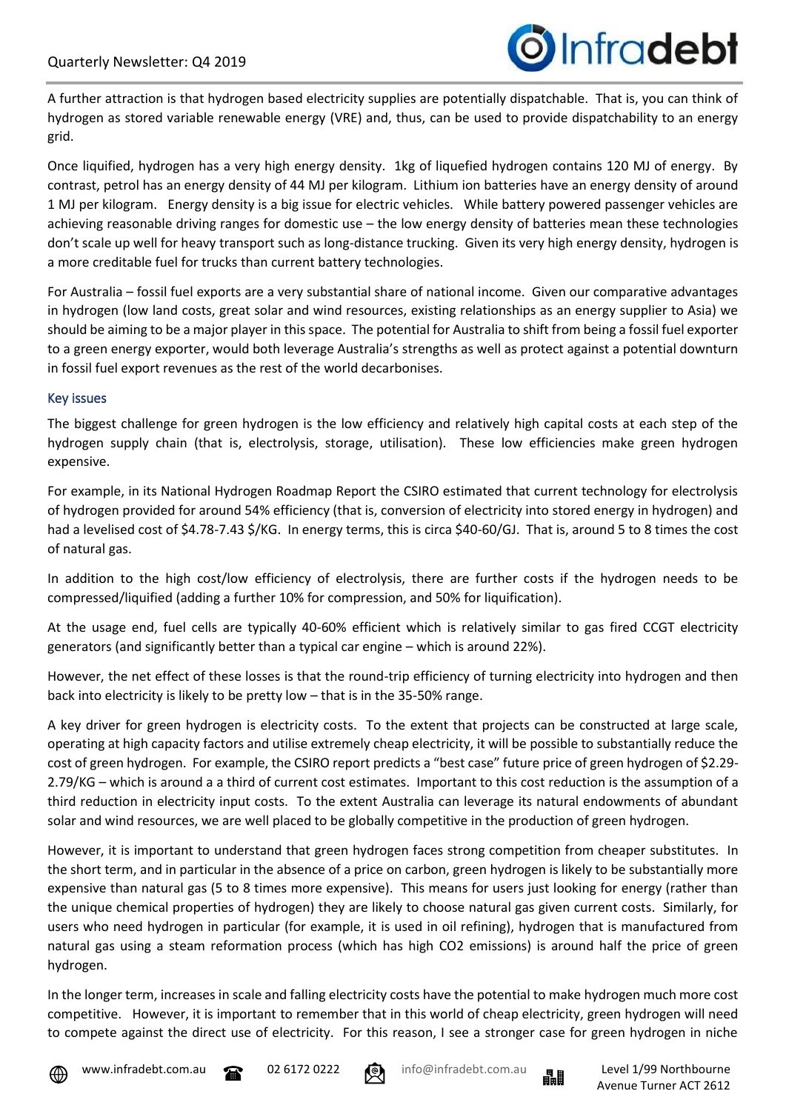A further attraction is that hydrogen based electricity supplies are potentially dispatchable. That is, you can think of hydrogen as stored variable renewable energy (VRE) and, thus, can be used to provide dispatchability to an energy grid.

Once liquified, hydrogen has a very high energy density. 1kg of liquefied hydrogen contains 120 MJ of energy. By contrast, petrol has an energy density of 44 MJ per kilogram. Lithium ion batteries have an energy density of around 1 MJ per kilogram. Energy density is a big issue for electric vehicles. While battery powered passenger vehicles are achieving reasonable driving ranges for domestic use – the low energy density of batteries mean these technologies don't scale up well for heavy transport such as long-distance trucking. Given its very high energy density, hydrogen is a more creditable fuel for trucks than current battery technologies.

For Australia – fossil fuel exports are a very substantial share of national income. Given our comparative advantages in hydrogen (low land costs, great solar and wind resources, existing relationships as an energy supplier to Asia) we should be aiming to be a major player in this space. The potential for Australia to shift from being a fossil fuel exporter to a green energy exporter, would both leverage Australia's strengths as well as protect against a potential downturn in fossil fuel export revenues as the rest of the world decarbonises.

### Key issues

The biggest challenge for green hydrogen is the low efficiency and relatively high capital costs at each step of the hydrogen supply chain (that is, electrolysis, storage, utilisation). These low efficiencies make green hydrogen expensive.

For example, in its National Hydrogen Roadmap Report the CSIRO estimated that current technology for electrolysis of hydrogen provided for around 54% efficiency (that is, conversion of electricity into stored energy in hydrogen) and had a levelised cost of \$4.78-7.43 \$/KG. In energy terms, this is circa \$40-60/GJ. That is, around 5 to 8 times the cost of natural gas.

In addition to the high cost/low efficiency of electrolysis, there are further costs if the hydrogen needs to be compressed/liquified (adding a further 10% for compression, and 50% for liquification).

At the usage end, fuel cells are typically 40-60% efficient which is relatively similar to gas fired CCGT electricity generators (and significantly better than a typical car engine – which is around 22%).

However, the net effect of these losses is that the round-trip efficiency of turning electricity into hydrogen and then back into electricity is likely to be pretty low – that is in the 35-50% range.

A key driver for green hydrogen is electricity costs. To the extent that projects can be constructed at large scale, operating at high capacity factors and utilise extremely cheap electricity, it will be possible to substantially reduce the cost of green hydrogen. For example, the CSIRO report predicts a "best case" future price of green hydrogen of \$2.29- 2.79/KG – which is around a a third of current cost estimates. Important to this cost reduction is the assumption of a third reduction in electricity input costs. To the extent Australia can leverage its natural endowments of abundant solar and wind resources, we are well placed to be globally competitive in the production of green hydrogen.

However, it is important to understand that green hydrogen faces strong competition from cheaper substitutes. In the short term, and in particular in the absence of a price on carbon, green hydrogen is likely to be substantially more expensive than natural gas (5 to 8 times more expensive). This means for users just looking for energy (rather than the unique chemical properties of hydrogen) they are likely to choose natural gas given current costs. Similarly, for users who need hydrogen in particular (for example, it is used in oil refining), hydrogen that is manufactured from natural gas using a steam reformation process (which has high CO2 emissions) is around half the price of green hydrogen.

In the longer term, increases in scale and falling electricity costs have the potential to make hydrogen much more cost competitive. However, it is important to remember that in this world of cheap electricity, green hydrogen will need to compete against the direct use of electricity. For this reason, I see a stronger case for green hydrogen in niche







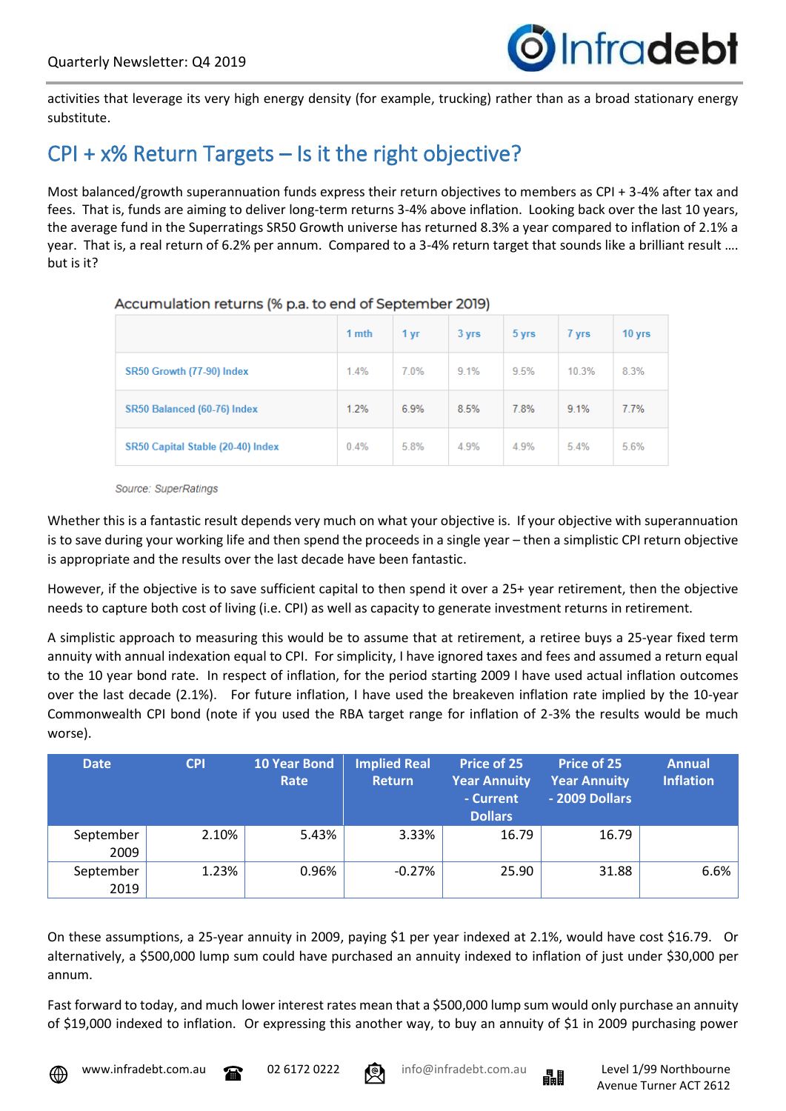

activities that leverage its very high energy density (for example, trucking) rather than as a broad stationary energy substitute.

# CPI + x% Return Targets – Is it the right objective?

Most balanced/growth superannuation funds express their return objectives to members as CPI + 3-4% after tax and fees. That is, funds are aiming to deliver long-term returns 3-4% above inflation. Looking back over the last 10 years, the average fund in the Superratings SR50 Growth universe has returned 8.3% a year compared to inflation of 2.1% a year. That is, a real return of 6.2% per annum. Compared to a 3-4% return target that sounds like a brilliant result …. but is it?

|                                   | 1 mth | 1 yr | 3 yrs | 5 yrs | 7 yrs | 10 yrs |
|-----------------------------------|-------|------|-------|-------|-------|--------|
| SR50 Growth (77-90) Index         | 1.4%  | 7.0% | 9.1%  | 9.5%  | 10.3% | 8.3%   |
| SR50 Balanced (60-76) Index       | 1.2%  | 6.9% | 8.5%  | 7.8%  | 9.1%  | 7.7%   |
| SR50 Capital Stable (20-40) Index | 0.4%  | 5.8% | 4.9%  | 4.9%  | 5.4%  | 5.6%   |

### Accumulation returns (% p.a. to end of September 2019)

Source: SuperRatings

Whether this is a fantastic result depends very much on what your objective is. If your objective with superannuation is to save during your working life and then spend the proceeds in a single year – then a simplistic CPI return objective is appropriate and the results over the last decade have been fantastic.

However, if the objective is to save sufficient capital to then spend it over a 25+ year retirement, then the objective needs to capture both cost of living (i.e. CPI) as well as capacity to generate investment returns in retirement.

A simplistic approach to measuring this would be to assume that at retirement, a retiree buys a 25-year fixed term annuity with annual indexation equal to CPI. For simplicity, I have ignored taxes and fees and assumed a return equal to the 10 year bond rate. In respect of inflation, for the period starting 2009 I have used actual inflation outcomes over the last decade (2.1%). For future inflation, I have used the breakeven inflation rate implied by the 10-year Commonwealth CPI bond (note if you used the RBA target range for inflation of 2-3% the results would be much worse).

| <b>Date</b>       | <b>CPI</b> | <b>10 Year Bond</b><br>Rate | <b>Implied Real</b><br>Return | Price of 25<br><b>Year Annuity</b><br>- Current<br><b>Dollars</b> | Price of 25<br><b>Year Annuity</b><br>- 2009 Dollars | <b>Annual</b><br><b>Inflation</b> |
|-------------------|------------|-----------------------------|-------------------------------|-------------------------------------------------------------------|------------------------------------------------------|-----------------------------------|
| September<br>2009 | 2.10%      | 5.43%                       | 3.33%                         | 16.79                                                             | 16.79                                                |                                   |
| September<br>2019 | 1.23%      | 0.96%                       | $-0.27%$                      | 25.90                                                             | 31.88                                                | 6.6%                              |

On these assumptions, a 25-year annuity in 2009, paying \$1 per year indexed at 2.1%, would have cost \$16.79. Or alternatively, a \$500,000 lump sum could have purchased an annuity indexed to inflation of just under \$30,000 per annum.

Fast forward to today, and much lower interest rates mean that a \$500,000 lump sum would only purchase an annuity of \$19,000 indexed to inflation. Or expressing this another way, to buy an annuity of \$1 in 2009 purchasing power



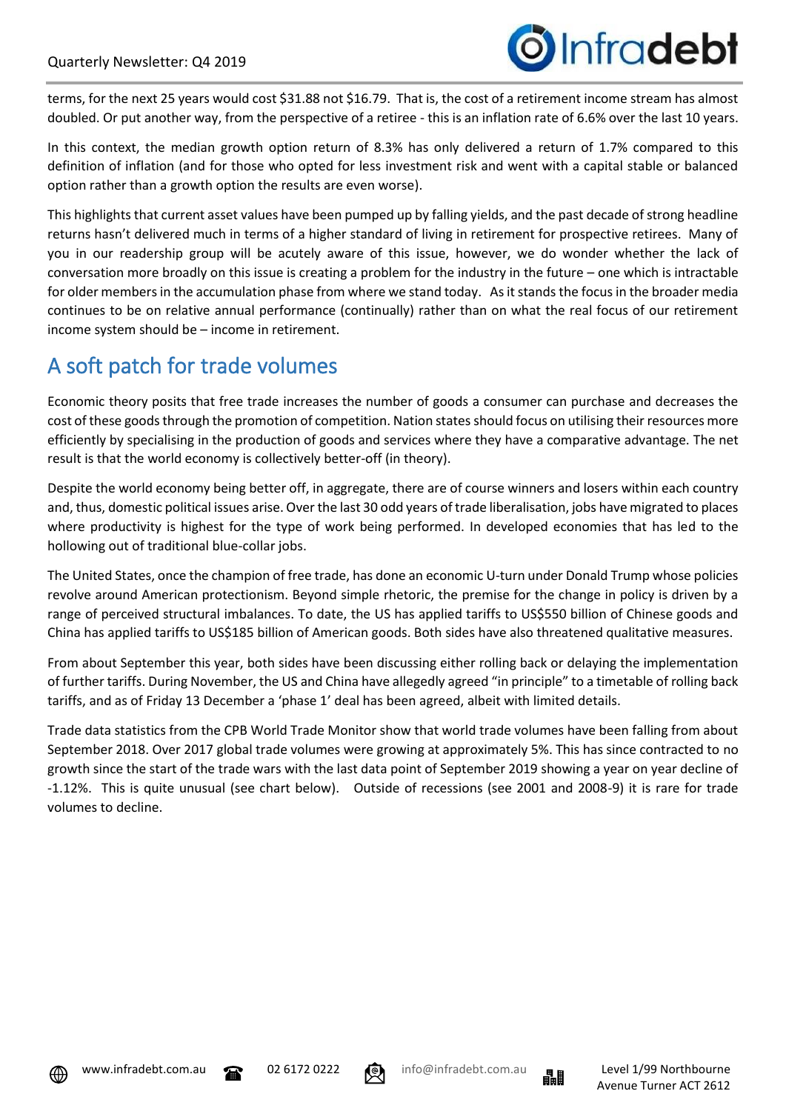

terms, for the next 25 years would cost \$31.88 not \$16.79. That is, the cost of a retirement income stream has almost doubled. Or put another way, from the perspective of a retiree - this is an inflation rate of 6.6% over the last 10 years.

In this context, the median growth option return of 8.3% has only delivered a return of 1.7% compared to this definition of inflation (and for those who opted for less investment risk and went with a capital stable or balanced option rather than a growth option the results are even worse).

This highlights that current asset values have been pumped up by falling yields, and the past decade of strong headline returns hasn't delivered much in terms of a higher standard of living in retirement for prospective retirees. Many of you in our readership group will be acutely aware of this issue, however, we do wonder whether the lack of conversation more broadly on this issue is creating a problem for the industry in the future – one which is intractable for older members in the accumulation phase from where we stand today. As it stands the focus in the broader media continues to be on relative annual performance (continually) rather than on what the real focus of our retirement income system should be – income in retirement.

# A soft patch for trade volumes

Economic theory posits that free trade increases the number of goods a consumer can purchase and decreases the cost of these goods through the promotion of competition. Nation states should focus on utilising their resources more efficiently by specialising in the production of goods and services where they have a comparative advantage. The net result is that the world economy is collectively better-off (in theory).

Despite the world economy being better off, in aggregate, there are of course winners and losers within each country and, thus, domestic political issues arise. Over the last 30 odd years of trade liberalisation, jobs have migrated to places where productivity is highest for the type of work being performed. In developed economies that has led to the hollowing out of traditional blue-collar jobs.

The United States, once the champion of free trade, has done an economic U-turn under Donald Trump whose policies revolve around American protectionism. Beyond simple rhetoric, the premise for the change in policy is driven by a range of perceived structural imbalances. To date, the US has applied tariffs to US\$550 billion of Chinese goods and China has applied tariffs to US\$185 billion of American goods. Both sides have also threatened qualitative measures.

From about September this year, both sides have been discussing either rolling back or delaying the implementation of further tariffs. During November, the US and China have allegedly agreed "in principle" to a timetable of rolling back tariffs, and as of Friday 13 December a 'phase 1' deal has been agreed, albeit with limited details.

Trade data statistics from the CPB World Trade Monitor show that world trade volumes have been falling from about September 2018. Over 2017 global trade volumes were growing at approximately 5%. This has since contracted to no growth since the start of the trade wars with the last data point of September 2019 showing a year on year decline of -1.12%. This is quite unusual (see chart below). Outside of recessions (see 2001 and 2008-9) it is rare for trade volumes to decline.







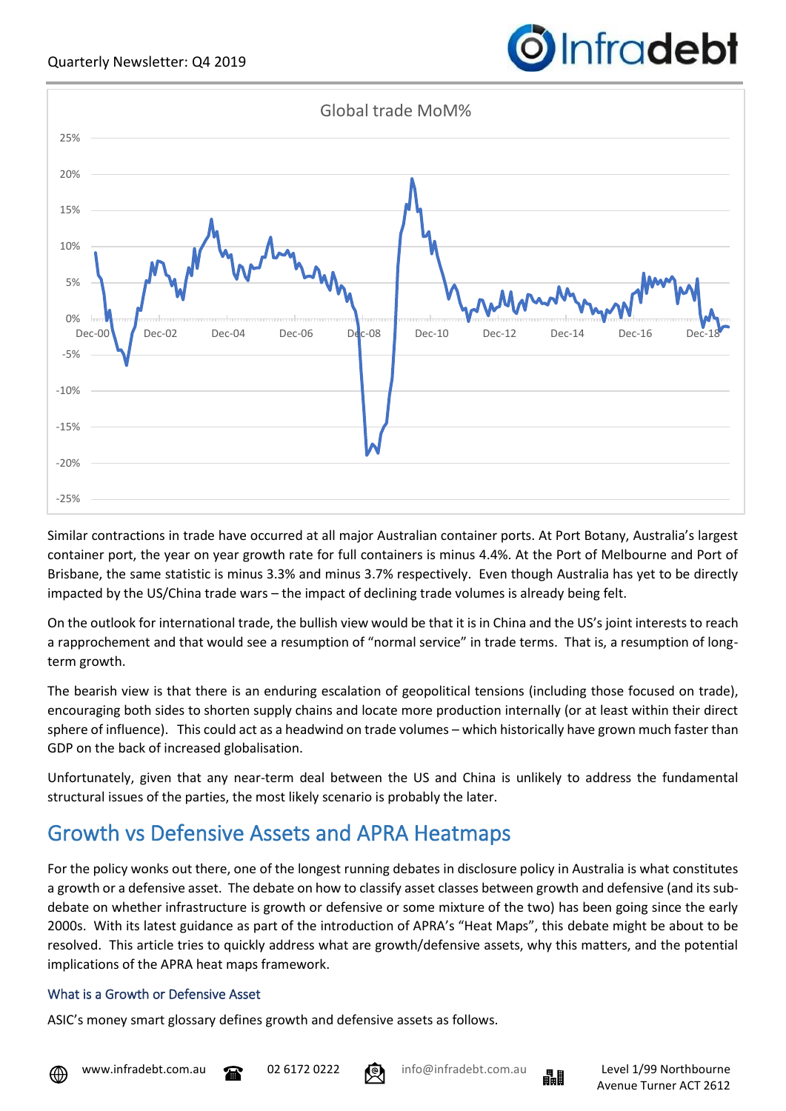

Similar contractions in trade have occurred at all major Australian container ports. At Port Botany, Australia's largest container port, the year on year growth rate for full containers is minus 4.4%. At the Port of Melbourne and Port of Brisbane, the same statistic is minus 3.3% and minus 3.7% respectively. Even though Australia has yet to be directly impacted by the US/China trade wars – the impact of declining trade volumes is already being felt.

On the outlook for international trade, the bullish view would be that it is in China and the US's joint interests to reach a rapprochement and that would see a resumption of "normal service" in trade terms. That is, a resumption of longterm growth.

The bearish view is that there is an enduring escalation of geopolitical tensions (including those focused on trade), encouraging both sides to shorten supply chains and locate more production internally (or at least within their direct sphere of influence). This could act as a headwind on trade volumes – which historically have grown much faster than GDP on the back of increased globalisation.

Unfortunately, given that any near-term deal between the US and China is unlikely to address the fundamental structural issues of the parties, the most likely scenario is probably the later.

# Growth vs Defensive Assets and APRA Heatmaps

For the policy wonks out there, one of the longest running debates in disclosure policy in Australia is what constitutes a growth or a defensive asset. The debate on how to classify asset classes between growth and defensive (and its subdebate on whether infrastructure is growth or defensive or some mixture of the two) has been going since the early 2000s. With its latest guidance as part of the introduction of APRA's "Heat Maps", this debate might be about to be resolved. This article tries to quickly address what are growth/defensive assets, why this matters, and the potential implications of the APRA heat maps framework.

# What is a Growth or Defensive Asset

ASIC's money smart glossary defines growth and defensive assets as follows.



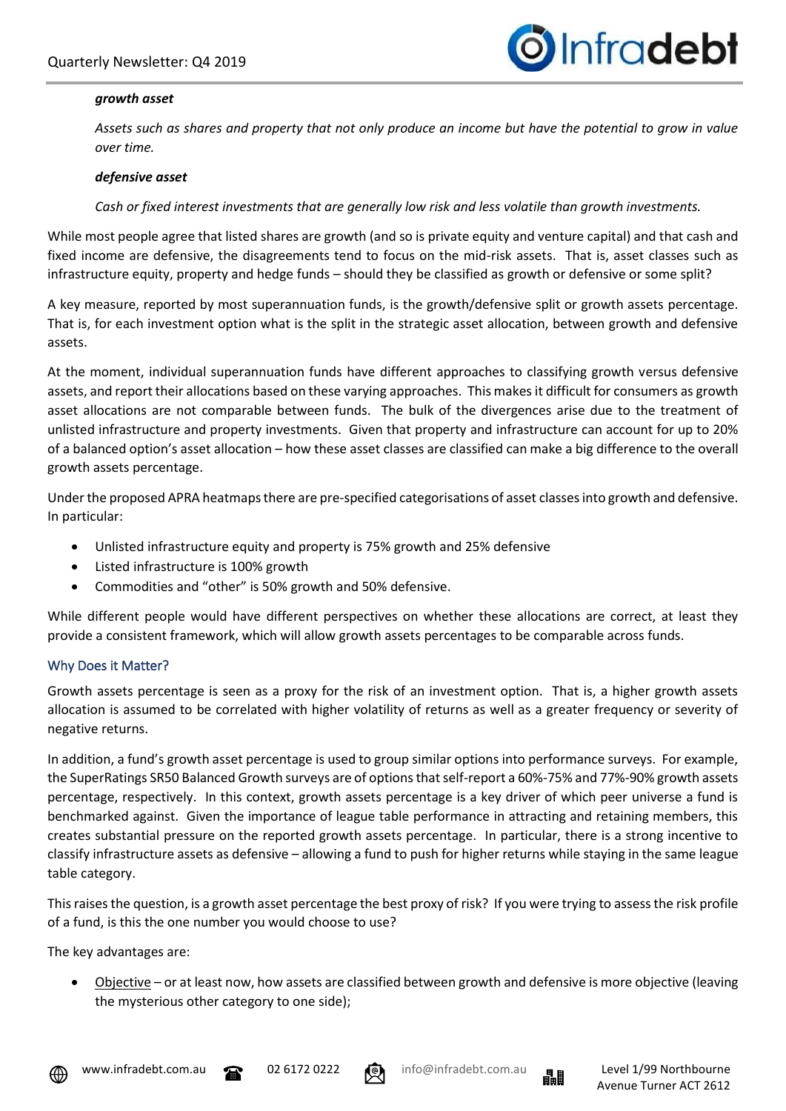

#### *growth asset*

*Assets such as shares and property that not only produce an income but have the potential to grow in value over time.*

#### *defensive asset*

#### *Cash or fixed interest investments that are generally low risk and less volatile than growth investments.*

While most people agree that listed shares are growth (and so is private equity and venture capital) and that cash and fixed income are defensive, the disagreements tend to focus on the mid-risk assets. That is, asset classes such as infrastructure equity, property and hedge funds – should they be classified as growth or defensive or some split?

A key measure, reported by most superannuation funds, is the growth/defensive split or growth assets percentage. That is, for each investment option what is the split in the strategic asset allocation, between growth and defensive assets.

At the moment, individual superannuation funds have different approaches to classifying growth versus defensive assets, and report their allocations based on these varying approaches. This makes it difficult for consumers as growth asset allocations are not comparable between funds. The bulk of the divergences arise due to the treatment of unlisted infrastructure and property investments. Given that property and infrastructure can account for up to 20% of a balanced option's asset allocation – how these asset classes are classified can make a big difference to the overall growth assets percentage.

Under the proposed APRA heatmaps there are pre-specified categorisations of asset classes into growth and defensive. In particular:

- Unlisted infrastructure equity and property is 75% growth and 25% defensive
- Listed infrastructure is 100% growth
- Commodities and "other" is 50% growth and 50% defensive.

While different people would have different perspectives on whether these allocations are correct, at least they provide a consistent framework, which will allow growth assets percentages to be comparable across funds.

#### Why Does it Matter?

Growth assets percentage is seen as a proxy for the risk of an investment option. That is, a higher growth assets allocation is assumed to be correlated with higher volatility of returns as well as a greater frequency or severity of negative returns.

In addition, a fund's growth asset percentage is used to group similar options into performance surveys. For example, the SuperRatings SR50 Balanced Growth surveys are of options that self-report a 60%-75% and 77%-90% growth assets percentage, respectively. In this context, growth assets percentage is a key driver of which peer universe a fund is benchmarked against. Given the importance of league table performance in attracting and retaining members, this creates substantial pressure on the reported growth assets percentage. In particular, there is a strong incentive to classify infrastructure assets as defensive – allowing a fund to push for higher returns while staying in the same league table category.

This raises the question, is a growth asset percentage the best proxy of risk? If you were trying to assess the risk profile of a fund, is this the one number you would choose to use?

The key advantages are:

• Objective – or at least now, how assets are classified between growth and defensive is more objective (leaving the mysterious other category to one side);







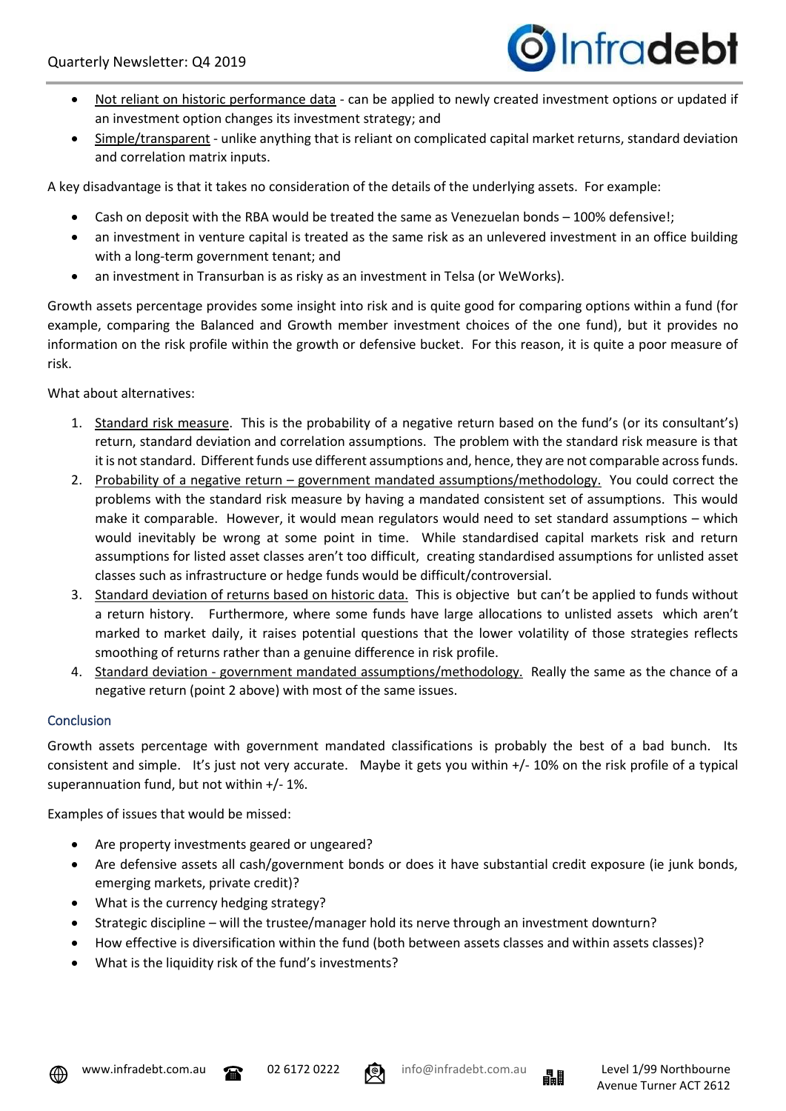

- Not reliant on historic performance data can be applied to newly created investment options or updated if an investment option changes its investment strategy; and
- Simple/transparent unlike anything that is reliant on complicated capital market returns, standard deviation and correlation matrix inputs.

A key disadvantage is that it takes no consideration of the details of the underlying assets. For example:

- Cash on deposit with the RBA would be treated the same as Venezuelan bonds 100% defensive!;
- an investment in venture capital is treated as the same risk as an unlevered investment in an office building with a long-term government tenant; and
- an investment in Transurban is as risky as an investment in Telsa (or WeWorks).

Growth assets percentage provides some insight into risk and is quite good for comparing options within a fund (for example, comparing the Balanced and Growth member investment choices of the one fund), but it provides no information on the risk profile within the growth or defensive bucket. For this reason, it is quite a poor measure of risk.

What about alternatives:

- 1. Standard risk measure. This is the probability of a negative return based on the fund's (or its consultant's) return, standard deviation and correlation assumptions. The problem with the standard risk measure is that it is not standard. Different funds use different assumptions and, hence, they are not comparable across funds.
- 2. Probability of a negative return government mandated assumptions/methodology. You could correct the problems with the standard risk measure by having a mandated consistent set of assumptions. This would make it comparable. However, it would mean regulators would need to set standard assumptions – which would inevitably be wrong at some point in time. While standardised capital markets risk and return assumptions for listed asset classes aren't too difficult, creating standardised assumptions for unlisted asset classes such as infrastructure or hedge funds would be difficult/controversial.
- 3. Standard deviation of returns based on historic data. This is objective but can't be applied to funds without a return history. Furthermore, where some funds have large allocations to unlisted assets which aren't marked to market daily, it raises potential questions that the lower volatility of those strategies reflects smoothing of returns rather than a genuine difference in risk profile.
- 4. Standard deviation government mandated assumptions/methodology. Really the same as the chance of a negative return (point 2 above) with most of the same issues.

### Conclusion

Growth assets percentage with government mandated classifications is probably the best of a bad bunch. Its consistent and simple. It's just not very accurate. Maybe it gets you within +/- 10% on the risk profile of a typical superannuation fund, but not within +/- 1%.

Examples of issues that would be missed:

- Are property investments geared or ungeared?
- Are defensive assets all cash/government bonds or does it have substantial credit exposure (ie junk bonds, emerging markets, private credit)?
- What is the currency hedging strategy?
- Strategic discipline will the trustee/manager hold its nerve through an investment downturn?
- How effective is diversification within the fund (both between assets classes and within assets classes)?
- What is the liquidity risk of the fund's investments?